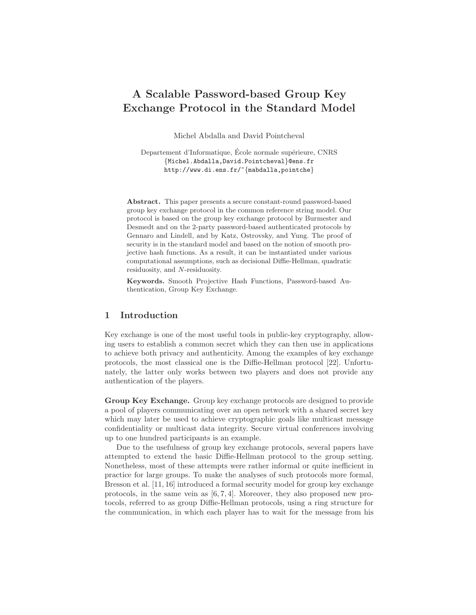## A Scalable Password-based Group Key Exchange Protocol in the Standard Model

Michel Abdalla and David Pointcheval

Departement d'Informatique, École normale supérieure, CNRS {Michel.Abdalla,David.Pointcheval}@ens.fr http://www.di.ens.fr/~{mabdalla,pointche}

Abstract. This paper presents a secure constant-round password-based group key exchange protocol in the common reference string model. Our protocol is based on the group key exchange protocol by Burmester and Desmedt and on the 2-party password-based authenticated protocols by Gennaro and Lindell, and by Katz, Ostrovsky, and Yung. The proof of security is in the standard model and based on the notion of smooth projective hash functions. As a result, it can be instantiated under various computational assumptions, such as decisional Diffie-Hellman, quadratic residuosity, and N-residuosity.

Keywords. Smooth Projective Hash Functions, Password-based Authentication, Group Key Exchange.

## 1 Introduction

Key exchange is one of the most useful tools in public-key cryptography, allowing users to establish a common secret which they can then use in applications to achieve both privacy and authenticity. Among the examples of key exchange protocols, the most classical one is the Diffie-Hellman protocol [22]. Unfortunately, the latter only works between two players and does not provide any authentication of the players.

Group Key Exchange. Group key exchange protocols are designed to provide a pool of players communicating over an open network with a shared secret key which may later be used to achieve cryptographic goals like multicast message confidentiality or multicast data integrity. Secure virtual conferences involving up to one hundred participants is an example.

Due to the usefulness of group key exchange protocols, several papers have attempted to extend the basic Diffie-Hellman protocol to the group setting. Nonetheless, most of these attempts were rather informal or quite inefficient in practice for large groups. To make the analyses of such protocols more formal, Bresson et al. [11, 16] introduced a formal security model for group key exchange protocols, in the same vein as  $[6, 7, 4]$ . Moreover, they also proposed new protocols, referred to as group Diffie-Hellman protocols, using a ring structure for the communication, in which each player has to wait for the message from his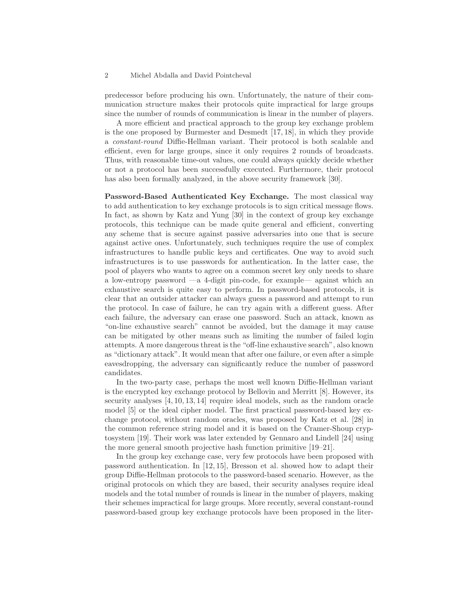#### 2 Michel Abdalla and David Pointcheval

predecessor before producing his own. Unfortunately, the nature of their communication structure makes their protocols quite impractical for large groups since the number of rounds of communication is linear in the number of players.

A more efficient and practical approach to the group key exchange problem is the one proposed by Burmester and Desmedt [17, 18], in which they provide a constant-round Diffie-Hellman variant. Their protocol is both scalable and efficient, even for large groups, since it only requires 2 rounds of broadcasts. Thus, with reasonable time-out values, one could always quickly decide whether or not a protocol has been successfully executed. Furthermore, their protocol has also been formally analyzed, in the above security framework [30].

Password-Based Authenticated Key Exchange. The most classical way to add authentication to key exchange protocols is to sign critical message flows. In fact, as shown by Katz and Yung [30] in the context of group key exchange protocols, this technique can be made quite general and efficient, converting any scheme that is secure against passive adversaries into one that is secure against active ones. Unfortunately, such techniques require the use of complex infrastructures to handle public keys and certificates. One way to avoid such infrastructures is to use passwords for authentication. In the latter case, the pool of players who wants to agree on a common secret key only needs to share a low-entropy password —a 4-digit pin-code, for example— against which an exhaustive search is quite easy to perform. In password-based protocols, it is clear that an outsider attacker can always guess a password and attempt to run the protocol. In case of failure, he can try again with a different guess. After each failure, the adversary can erase one password. Such an attack, known as "on-line exhaustive search" cannot be avoided, but the damage it may cause can be mitigated by other means such as limiting the number of failed login attempts. A more dangerous threat is the "off-line exhaustive search", also known as "dictionary attack". It would mean that after one failure, or even after a simple eavesdropping, the adversary can significantly reduce the number of password candidates.

In the two-party case, perhaps the most well known Diffie-Hellman variant is the encrypted key exchange protocol by Bellovin and Merritt [8]. However, its security analyses [4, 10, 13, 14] require ideal models, such as the random oracle model [5] or the ideal cipher model. The first practical password-based key exchange protocol, without random oracles, was proposed by Katz et al. [28] in the common reference string model and it is based on the Cramer-Shoup cryptosystem [19]. Their work was later extended by Gennaro and Lindell [24] using the more general smooth projective hash function primitive [19–21].

In the group key exchange case, very few protocols have been proposed with password authentication. In [12, 15], Bresson et al. showed how to adapt their group Diffie-Hellman protocols to the password-based scenario. However, as the original protocols on which they are based, their security analyses require ideal models and the total number of rounds is linear in the number of players, making their schemes impractical for large groups. More recently, several constant-round password-based group key exchange protocols have been proposed in the liter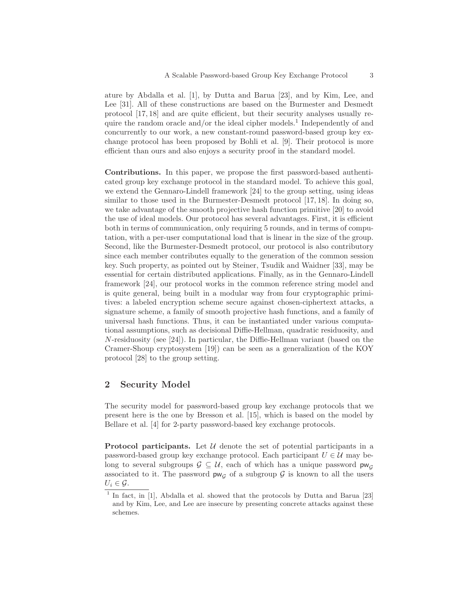ature by Abdalla et al. [1], by Dutta and Barua [23], and by Kim, Lee, and Lee [31]. All of these constructions are based on the Burmester and Desmedt protocol [17, 18] and are quite efficient, but their security analyses usually require the random oracle and/or the ideal cipher models.<sup>1</sup> Independently of and concurrently to our work, a new constant-round password-based group key exchange protocol has been proposed by Bohli et al. [9]. Their protocol is more efficient than ours and also enjoys a security proof in the standard model.

Contributions. In this paper, we propose the first password-based authenticated group key exchange protocol in the standard model. To achieve this goal, we extend the Gennaro-Lindell framework [24] to the group setting, using ideas similar to those used in the Burmester-Desmedt protocol [17, 18]. In doing so, we take advantage of the smooth projective hash function primitive [20] to avoid the use of ideal models. Our protocol has several advantages. First, it is efficient both in terms of communication, only requiring 5 rounds, and in terms of computation, with a per-user computational load that is linear in the size of the group. Second, like the Burmester-Desmedt protocol, our protocol is also contributory since each member contributes equally to the generation of the common session key. Such property, as pointed out by Steiner, Tsudik and Waidner [33], may be essential for certain distributed applications. Finally, as in the Gennaro-Lindell framework [24], our protocol works in the common reference string model and is quite general, being built in a modular way from four cryptographic primitives: a labeled encryption scheme secure against chosen-ciphertext attacks, a signature scheme, a family of smooth projective hash functions, and a family of universal hash functions. Thus, it can be instantiated under various computational assumptions, such as decisional Diffie-Hellman, quadratic residuosity, and N-residuosity (see [24]). In particular, the Diffie-Hellman variant (based on the Cramer-Shoup cryptosystem [19]) can be seen as a generalization of the KOY protocol [28] to the group setting.

### 2 Security Model

The security model for password-based group key exchange protocols that we present here is the one by Bresson et al. [15], which is based on the model by Bellare et al. [4] for 2-party password-based key exchange protocols.

**Protocol participants.** Let  $U$  denote the set of potential participants in a password-based group key exchange protocol. Each participant  $U \in \mathcal{U}$  may belong to several subgroups  $\mathcal{G} \subseteq \mathcal{U}$ , each of which has a unique password  $\mathsf{pw}_G$ associated to it. The password  $pw_G$  of a subgroup G is known to all the users  $U_i \in \mathcal{G}$ .

<sup>&</sup>lt;sup>1</sup> In fact, in [1], Abdalla et al. showed that the protocols by Dutta and Barua [23] and by Kim, Lee, and Lee are insecure by presenting concrete attacks against these schemes.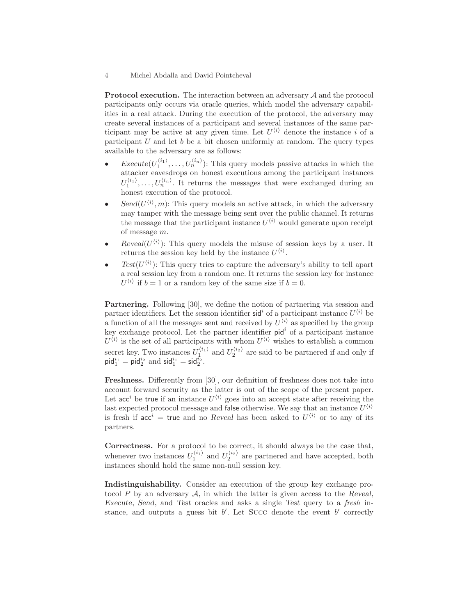Protocol execution. The interaction between an adversary A and the protocol participants only occurs via oracle queries, which model the adversary capabilities in a real attack. During the execution of the protocol, the adversary may create several instances of a participant and several instances of the same participant may be active at any given time. Let  $U^{\langle i \rangle}$  denote the instance i of a participant  $U$  and let  $b$  be a bit chosen uniformly at random. The query types available to the adversary are as follows:

- Execute $(U_1^{\langle i_1 \rangle}, \ldots, U_n^{\langle i_n \rangle})$ : This query models passive attacks in which the attacker eavesdrops on honest executions among the participant instances  $U_1^{\langle i_1 \rangle}, \ldots, U_n^{\langle i_n \rangle}$ . It returns the messages that were exchanged during an honest execution of the protocol.
- Send $(U^{(i)}, m)$ : This query models an active attack, in which the adversary may tamper with the message being sent over the public channel. It returns the message that the participant instance  $U^{\langle i \rangle}$  would generate upon receipt of message m.
- Reveal $(U^{\langle i \rangle})$ : This query models the misuse of session keys by a user. It returns the session key held by the instance  $U^{\langle i \rangle}$ .
- Test $(U^{\langle i \rangle})$ : This query tries to capture the adversary's ability to tell apart a real session key from a random one. It returns the session key for instance  $U^{\langle i \rangle}$  if  $b = 1$  or a random key of the same size if  $b = 0$ .

Partnering. Following [30], we define the notion of partnering via session and partner identifiers. Let the session identifier  $\mathsf{sid}^i$  of a participant instance  $U^{\langle i \rangle}$  be a function of all the messages sent and received by  $U^{\langle i \rangle}$  as specified by the group key exchange protocol. Let the partner identifier  $p \text{id}^i$  of a participant instance  $U^{\langle i \rangle}$  is the set of all participants with whom  $U^{\langle i \rangle}$  wishes to establish a common secret key. Two instances  $U_1^{\langle i_1 \rangle}$  and  $U_2^{\langle i_2 \rangle}$  are said to be partnered if and only if  $\mathsf{pid}_1^{i_1} = \mathsf{pid}_2^{i_2} \text{ and } \mathsf{sid}_1^{i_1} = \mathsf{sid}_2^{i_2}.$ 

Freshness. Differently from [30], our definition of freshness does not take into account forward security as the latter is out of the scope of the present paper. Let acc<sup>i</sup> be true if an instance  $U^{\langle i \rangle}$  goes into an accept state after receiving the last expected protocol message and false otherwise. We say that an instance  $U^{\langle i \rangle}$ is fresh if  $acc^i$  = true and no Reveal has been asked to  $U^{\langle i \rangle}$  or to any of its partners.

Correctness. For a protocol to be correct, it should always be the case that, whenever two instances  $U_1^{\langle i_1 \rangle}$  and  $U_2^{\langle i_2 \rangle}$  are partnered and have accepted, both instances should hold the same non-null session key.

Indistinguishability. Consider an execution of the group key exchange protocol P by an adversary  $A$ , in which the latter is given access to the Reveal, Execute, Send, and Test oracles and asks a single Test query to a fresh instance, and outputs a guess bit  $b'$ . Let Succ denote the event  $b'$  correctly

<sup>4</sup> Michel Abdalla and David Pointcheval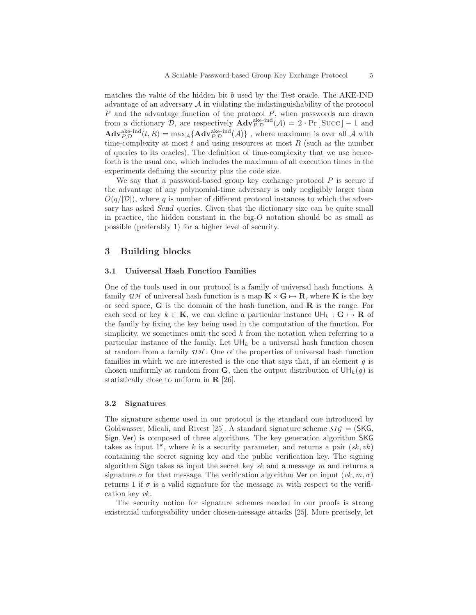matches the value of the hidden bit b used by the Test oracle. The AKE-IND advantage of an adversary  $A$  in violating the indistinguishability of the protocol P and the advantage function of the protocol P, when passwords are drawn from a dictionary  $\mathcal{D}$ , are respectively  $\mathbf{Adv}_{P,\mathcal{D}}^{\text{ake-ind}}(\mathcal{A}) = 2 \cdot \Pr[\text{Succ}] - 1$  and  $\mathbf{Adv}_{P,D}^{\text{ake-ind}}(t, R) = \max_{\mathcal{A}} \{ \mathbf{Adv}_{P,D}^{\text{ake-ind}}(\mathcal{A}) \}$ , where maximum is over all  $\mathcal{A}$  with time-complexity at most  $t$  and using resources at most  $R$  (such as the number of queries to its oracles). The definition of time-complexity that we use henceforth is the usual one, which includes the maximum of all execution times in the experiments defining the security plus the code size.

We say that a password-based group key exchange protocol  $P$  is secure if the advantage of any polynomial-time adversary is only negligibly larger than  $O(q/|\mathcal{D}|)$ , where q is number of different protocol instances to which the adversary has asked Send queries. Given that the dictionary size can be quite small in practice, the hidden constant in the big- $O$  notation should be as small as possible (preferably 1) for a higher level of security.

## 3 Building blocks

#### 3.1 Universal Hash Function Families

One of the tools used in our protocol is a family of universal hash functions. A family  $\mathcal{U} \mathcal{H}$  of universal hash function is a map  $\mathbf{K} \times \mathbf{G} \mapsto \mathbf{R}$ , where K is the key or seed space,  $\bf{G}$  is the domain of the hash function, and  $\bf{R}$  is the range. For each seed or key  $k \in \mathbf{K}$ , we can define a particular instance  $\mathsf{UH}_k : \mathbf{G} \mapsto \mathbf{R}$  of the family by fixing the key being used in the computation of the function. For simplicity, we sometimes omit the seed  $k$  from the notation when referring to a particular instance of the family. Let  $\mathsf{UH}_k$  be a universal hash function chosen at random from a family *U H* . One of the properties of universal hash function families in which we are interested is the one that says that, if an element  $q$  is chosen uniformly at random from G, then the output distribution of  $\mathsf{UH}_k(g)$  is statistically close to uniform in R [26].

#### 3.2 Signatures

The signature scheme used in our protocol is the standard one introduced by Goldwasser, Micali, and Rivest [25]. A standard signature scheme *SIG* = (SKG, Sign,Ver) is composed of three algorithms. The key generation algorithm SKG takes as input  $1^k$ , where k is a security parameter, and returns a pair  $(sk, vk)$ containing the secret signing key and the public verification key. The signing algorithm Sign takes as input the secret key  $sk$  and a message  $m$  and returns a signature  $\sigma$  for that message. The verification algorithm Ver on input  $(vk, m, \sigma)$ returns 1 if  $\sigma$  is a valid signature for the message m with respect to the verification key vk.

The security notion for signature schemes needed in our proofs is strong existential unforgeability under chosen-message attacks [25]. More precisely, let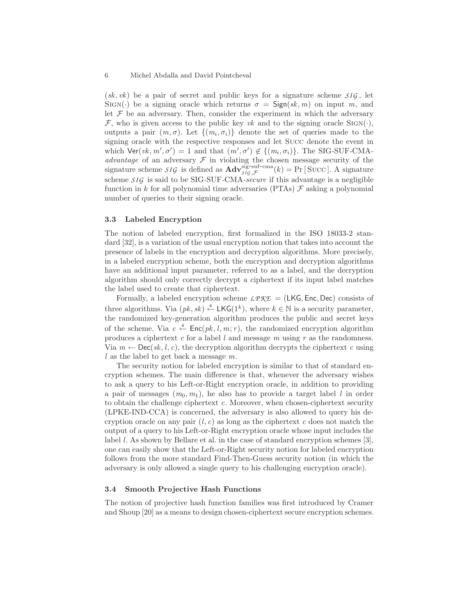$(k, v k)$  be a pair of secret and public keys for a signature scheme  $\mathcal{S} I \mathcal{G}$ , let SIGN(·) be a signing oracle which returns  $\sigma = \text{Sign}(sk, m)$  on input m, and let  $\mathcal F$  be an adversary. Then, consider the experiment in which the adversary  $\mathcal F$ , who is given access to the public key vk and to the signing oracle SIGN( $\cdot$ ), outputs a pair  $(m, \sigma)$ . Let  $\{(m_i, \sigma_i)\}\$  denote the set of queries made to the signing oracle with the respective responses and let Succ denote the event in which  $\text{Ver}(vk, m', \sigma') = 1$  and that  $(m', \sigma') \notin \{(m_i, \sigma_i)\}\)$ . The SIG-SUF-CMAadvantage of an adversary  $\mathcal F$  in violating the chosen message security of the signature scheme *SIG* is defined as  $\mathbf{Adv}_{\mathit{SIG},\mathcal{F}}^{\text{sig-suf-cma}}(k) = \Pr \left[\text{Succ}. \text{A signature}\right]$ scheme  $\mathcal{S}IG$  is said to be SIG-SUF-CMA-secure if this advantage is a negligible function in k for all polynomial time adversaries (PTAs)  $\mathcal F$  asking a polynomial number of queries to their signing oracle.

#### 3.3 Labeled Encryption

The notion of labeled encryption, first formalized in the ISO 18033-2 standard [32], is a variation of the usual encryption notion that takes into account the presence of labels in the encryption and decryption algorithms. More precisely, in a labeled encryption scheme, both the encryption and decryption algorithms have an additional input parameter, referred to as a label, and the decryption algorithm should only correctly decrypt a ciphertext if its input label matches the label used to create that ciphertext.

Formally, a labeled encryption scheme  $\mathcal{LPRE} = (LKG, Enc, Dec)$  consists of three algorithms. Via  $(pk, sk) \stackrel{\$}{\leftarrow} \mathsf{LKG}(1^k)$ , where  $k \in \mathbb{N}$  is a security parameter, the randomized key-generation algorithm produces the public and secret keys of the scheme. Via  $c \stackrel{\text{s}}{\leftarrow} \text{Enc}(pk, l, m; r)$ , the randomized encryption algorithm produces a ciphertext c for a label l and message  $m$  using  $r$  as the randomness. Via  $m \leftarrow \text{Dec}(sk, l, c)$ , the decryption algorithm decrypts the ciphertext c using l as the label to get back a message  $m$ .

The security notion for labeled encryption is similar to that of standard encryption schemes. The main difference is that, whenever the adversary wishes to ask a query to his Left-or-Right encryption oracle, in addition to providing a pair of messages  $(m_0, m_1)$ , he also has to provide a target label l in order to obtain the challenge ciphertext  $c$ . Moreover, when chosen-ciphertext security (LPKE-IND-CCA) is concerned, the adversary is also allowed to query his decryption oracle on any pair  $(l, c)$  as long as the ciphertext c does not match the output of a query to his Left-or-Right encryption oracle whose input includes the label l. As shown by Bellare et al. in the case of standard encryption schemes [3], one can easily show that the Left-or-Right security notion for labeled encryption follows from the more standard Find-Then-Guess security notion (in which the adversary is only allowed a single query to his challenging encryption oracle).

#### 3.4 Smooth Projective Hash Functions

The notion of projective hash function families was first introduced by Cramer and Shoup [20] as a means to design chosen-ciphertext secure encryption schemes.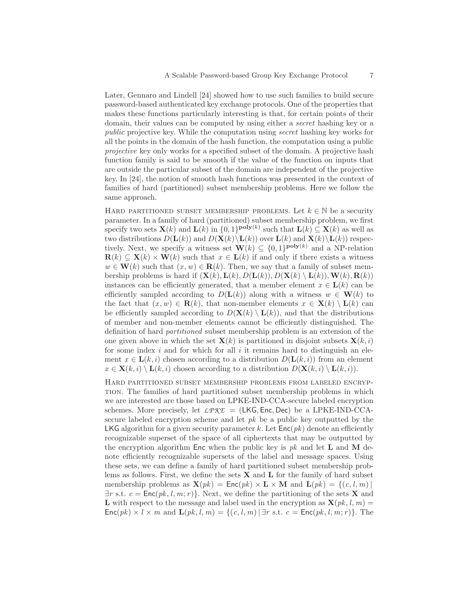Later, Gennaro and Lindell [24] showed how to use such families to build secure password-based authenticated key exchange protocols. One of the properties that makes these functions particularly interesting is that, for certain points of their domain, their values can be computed by using either a secret hashing key or a public projective key. While the computation using secret hashing key works for all the points in the domain of the hash function, the computation using a public projective key only works for a specified subset of the domain. A projective hash function family is said to be smooth if the value of the function on inputs that are outside the particular subset of the domain are independent of the projective key. In [24], the notion of smooth hash functions was presented in the context of families of hard (partitioned) subset membership problems. Here we follow the same approach.

HARD PARTITIONED SUBSET MEMBERSHIP PROBLEMS. Let  $k \in \mathbb{N}$  be a security parameter. In a family of hard (partitioned) subset membership problem, we first specify two sets  $\mathbf{X}(k)$  and  $\mathbf{L}(k)$  in  $\{0,1\}^{\text{poly}(k)}$  such that  $\mathbf{L}(k) \subseteq \mathbf{X}(k)$  as well as two distributions  $D(L(k))$  and  $D(X(k)\backslash L(k))$  over  $L(k)$  and  $X(k)\backslash L(k)$  respectively. Next, we specify a witness set  $\mathbf{W}(k) \subseteq \{0,1\}^{\text{poly}(k)}$  and a NP-relation  $\mathbf{R}(k) \subset \mathbf{X}(k) \times \mathbf{W}(k)$  such that  $x \in \mathbf{L}(k)$  if and only if there exists a witness  $w \in \mathbf{W}(k)$  such that  $(x, w) \in \mathbf{R}(k)$ . Then, we say that a family of subset membership problems is hard if  $(\mathbf{X}(k), \mathbf{L}(k), D(\mathbf{L}(k)), D(\mathbf{X}(k) \setminus \mathbf{L}(k)), \mathbf{W}(k), \mathbf{R}(k))$ instances can be efficiently generated, that a member element  $x \in L(k)$  can be efficiently sampled according to  $D(L(k))$  along with a witness  $w \in W(k)$  to the fact that  $(x, w) \in \mathbf{R}(k)$ , that non-member elements  $x \in \mathbf{X}(k) \setminus \mathbf{L}(k)$  can be efficiently sampled according to  $D(\mathbf{X}(k) \setminus \mathbf{L}(k))$ , and that the distributions of member and non-member elements cannot be efficiently distinguished. The definition of hard partitioned subset membership problem is an extension of the one given above in which the set  $\mathbf{X}(k)$  is partitioned in disjoint subsets  $\mathbf{X}(k, i)$ for some index i and for which for all i it remains hard to distinguish an element  $x \in L(k, i)$  chosen according to a distribution  $D(L(k, i))$  from an element  $x \in \mathbf{X}(k, i) \setminus \mathbf{L}(k, i)$  chosen according to a distribution  $D(\mathbf{X}(k, i) \setminus \mathbf{L}(k, i)).$ 

Hard partitioned subset membership problems from labeled encryption. The families of hard partitioned subset membership problems in which we are interested are those based on LPKE-IND-CCA-secure labeled encryption schemes. More precisely, let  $\mathcal{LPRE} = (LKG, Enc, Dec)$  be a LPKE-IND-CCAsecure labeled encryption scheme and let  $pk$  be a public key outputted by the **LKG** algorithm for a given security parameter k. Let  $Enc(pk)$  denote an efficiently recognizable superset of the space of all ciphertexts that may be outputted by the encryption algorithm Enc when the public key is  $pk$  and let  $L$  and  $M$  denote efficiently recognizable supersets of the label and message spaces. Using these sets, we can define a family of hard partitioned subset membership problems as follows. First, we define the sets  $X$  and  $L$  for the family of hard subset membership problems as  $\mathbf{X}(pk) = \mathsf{Enc}(pk) \times \mathbf{L} \times \mathbf{M}$  and  $\mathbf{L}(pk) = \{(c, l, m) \mid$  $\exists r \text{ s.t. } c = \text{Enc}(pk, l, m; r)$ . Next, we define the partitioning of the sets **X** and L with respect to the message and label used in the encryption as  $\mathbf{X}(pk, l, m) =$  $Enc(pk) \times l \times m$  and  $\mathbf{L}(pk, l, m) = \{(c, l, m) | \exists r \text{ s.t. } c = Enc(pk, l, m; r)\}.$  The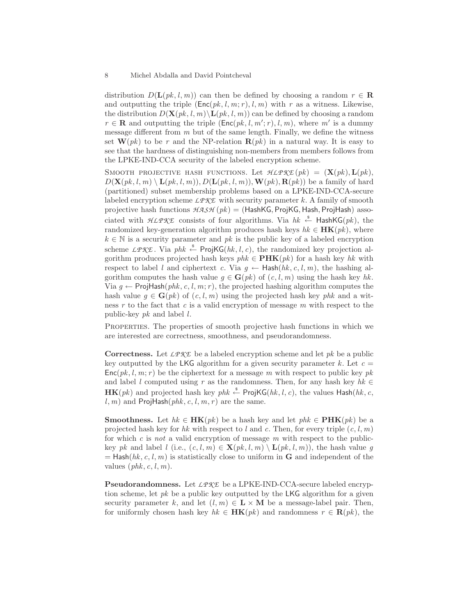distribution  $D(\mathbf{L}(pk, l, m))$  can then be defined by choosing a random  $r \in \mathbf{R}$ and outputting the triple  $(Enc(pk, l, m; r), l, m)$  with r as a witness. Likewise, the distribution  $D(\mathbf{X}(pk, l, m) \setminus \mathbf{L}(pk, l, m))$  can be defined by choosing a random  $r \in \mathbf{R}$  and outputting the triple  $(\mathsf{Enc}(pk, l, m'; r), l, m)$ , where m' is a dummy message different from  $m$  but of the same length. Finally, we define the witness set  $\mathbf{W}(pk)$  to be r and the NP-relation  $\mathbf{R}(pk)$  in a natural way. It is easy to see that the hardness of distinguishing non-members from members follows from the LPKE-IND-CCA security of the labeled encryption scheme.

SMOOTH PROJECTIVE HASH FUNCTIONS. Let  $\mathcal{HLPKE}(pk) = (\mathbf{X}(pk), \mathbf{L}(pk))$ ,  $D(\mathbf{X}(pk, l, m) \setminus \mathbf{L}(pk, l, m)), D(\mathbf{L}(pk, l, m)), \mathbf{W}(pk), \mathbf{R}(pk))$  be a family of hard (partitioned) subset membership problems based on a LPKE-IND-CCA-secure labeled encryption scheme  $\text{LPKE}$  with security parameter k. A family of smooth projective hash functions  $\mathcal{HASH}(pk) = (HashKG, ProjKG, Hash, ProjHash)$  associated with  $HLPKE$  consists of four algorithms. Via  $hk \stackrel{\$}{\leftarrow}$  HashKG(pk), the randomized key-generation algorithm produces hash keys  $hk \in HK(pk)$ , where  $k \in \mathbb{N}$  is a security parameter and pk is the public key of a labeled encryption scheme  $\mathcal{L}PKE$ . Via phk  $\stackrel{\$}{\leftarrow}$  ProjKG(hk, l, c), the randomized key projection algorithm produces projected hash keys  $phk \in PHK(pk)$  for a hash key hk with respect to label l and ciphertext c. Via  $g \leftarrow$  Hash $(hk, c, l, m)$ , the hashing algorithm computes the hash value  $g \in \mathbf{G}(pk)$  of  $(c, l, m)$  using the hash key hk. Via  $g \leftarrow$  ProjHash $(\rho h k, c, l, m; r)$ , the projected hashing algorithm computes the hash value  $q \in \mathbf{G}(pk)$  of  $(c, l, m)$  using the projected hash key *phk* and a witness r to the fact that c is a valid encryption of message m with respect to the public-key  $pk$  and label  $l$ .

Properties. The properties of smooth projective hash functions in which we are interested are correctness, smoothness, and pseudorandomness.

**Correctness.** Let  $\text{LPKE}$  be a labeled encryption scheme and let pk be a public key outputted by the LKG algorithm for a given security parameter k. Let  $c =$  $Enc(pk, l, m; r)$  be the ciphertext for a message m with respect to public key pk and label l computed using r as the randomness. Then, for any hash key  $hk \in$  $HK(pk)$  and projected hash key phk  $\stackrel{\$}{\leftarrow}$  ProjKG(hk, l, c), the values Hash(hk, c, l, m) and ProjHash $(\rho h k, c, l, m, r)$  are the same.

**Smoothness.** Let  $hk \in HK(pk)$  be a hash key and let  $phk \in PHK(pk)$  be a projected hash key for hk with respect to l and c. Then, for every triple  $(c, l, m)$ for which c is not a valid encryption of message  $m$  with respect to the publickey pk and label l (i.e.,  $(c, l, m) \in \mathbf{X}(pk, l, m) \setminus \mathbf{L}(pk, l, m)$ ), the hash value g  $=$  Hash(hk, c, l, m) is statistically close to uniform in G and independent of the values  $(\text{phk}, c, l, m)$ .

**Pseudorandomness.** Let  $\text{LPKE}$  be a LPKE-IND-CCA-secure labeled encryption scheme, let  $pk$  be a public key outputted by the LKG algorithm for a given security parameter k, and let  $(l, m) \in L \times M$  be a message-label pair. Then, for uniformly chosen hash key  $hk \in HK(pk)$  and randomness  $r \in \mathbf{R}(pk)$ , the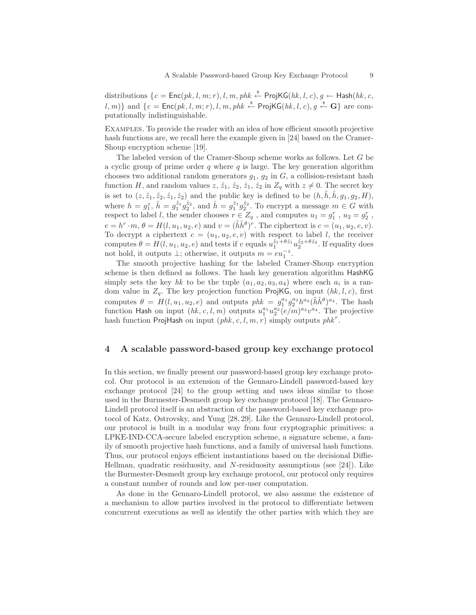distributions  $\{c = \mathsf{Enc}(pk, l, m; r), l, m, phk \stackrel{\$}{\leftarrow} \mathsf{ProjKG}(hk, l, c), g \leftarrow \mathsf{Hash}(hk, c,$ l, m)} and  $\{c = \mathsf{Enc}(pk, l, m; r), l, m, phk \stackrel{\$}{\leftarrow} \mathsf{ProjKG}(hk, l, c), g \stackrel{\$}{\leftarrow} \mathbf{G}\}$  are computationally indistinguishable.

Examples. To provide the reader with an idea of how efficient smooth projective hash functions are, we recall here the example given in [24] based on the Cramer-Shoup encryption scheme [19].

The labeled version of the Cramer-Shoup scheme works as follows. Let G be a cyclic group of prime order  $q$  where  $q$  is large. The key generation algorithm chooses two additional random generators  $g_1, g_2$  in  $G$ , a collision-resistant hash function H, and random values z,  $\tilde{z}_1$ ,  $\tilde{z}_2$ ,  $\hat{z}_1$ ,  $\hat{z}_2$  in  $Z_q$  with  $z \neq 0$ . The secret key is set to  $(z, \tilde{z}_1, \tilde{z}_2, \hat{z}_1, \hat{z}_2)$  and the public key is defined to be  $(h, \tilde{h}, \hat{h}, g_1, g_2, H)$ , where  $h = g_1^z$ ,  $\tilde{h} = g_1^{\tilde{z}_1} g_2^{\tilde{z}_2}$ , and  $\hat{h} = g_1^{\tilde{z}_1} g_2^{\tilde{z}_2}$ . To encrypt a message  $m \in G$  with respect to label *l*, the sender chooses  $r \in Z_q$ , and computes  $u_1 = g_1^r$ ,  $u_2 = g_2^r$ ,  $e = h^r \cdot m, \, \theta = H(l, u_1, u_2, e)$  and  $v = (\tilde{h} \hat{h}^{\theta})^r$ . The ciphertext is  $c = (u_1, u_2, e, v)$ . To decrypt a ciphertext  $c = (u_1, u_2, e, v)$  with respect to label l, the receiver computes  $\theta = H(l, u_1, u_2, e)$  and tests if v equals  $u_1^{\tilde{z}_1 + \theta \tilde{z}_1} u_2^{\tilde{z}_2 + \theta \tilde{z}_2}$ . If equality does not hold, it outputs  $\bot$ ; otherwise, it outputs  $m = e^{u_1^{-z}}$ .

The smooth projective hashing for the labeled Cramer-Shoup encryption scheme is then defined as follows. The hash key generation algorithm HashKG simply sets the key hk to be the tuple  $(a_1, a_2, a_3, a_4)$  where each  $a_i$  is a random value in  $Z_q$ . The key projection function ProjKG, on input  $(hk, l, c)$ , first computes  $\theta = H(l, u_1, u_2, e)$  and outputs  $phk = g_1^{a_1} g_2^{a_2} h^{a_3} (\tilde{h} \hat{h}^{\theta})^{a_4}$ . The hash function Hash on input  $(hk, c, l, m)$  outputs  $u_1^{a_1} u_2^{a_2} (e/m)^{a_3} v^{a_4}$ . The projective hash function ProjHash on input  $(\text{phk}, c, l, m, r)$  simply outputs  $\text{phk}^r$ .

## 4 A scalable password-based group key exchange protocol

In this section, we finally present our password-based group key exchange protocol. Our protocol is an extension of the Gennaro-Lindell password-based key exchange protocol [24] to the group setting and uses ideas similar to those used in the Burmester-Desmedt group key exchange protocol [18]. The Gennaro-Lindell protocol itself is an abstraction of the password-based key exchange protocol of Katz, Ostrovsky, and Yung [28, 29]. Like the Gennaro-Lindell protocol, our protocol is built in a modular way from four cryptographic primitives: a LPKE-IND-CCA-secure labeled encryption scheme, a signature scheme, a family of smooth projective hash functions, and a family of universal hash functions. Thus, our protocol enjoys efficient instantiations based on the decisional Diffie-Hellman, quadratic residuosity, and N-residuosity assumptions (see [24]). Like the Burmester-Desmedt group key exchange protocol, our protocol only requires a constant number of rounds and low per-user computation.

As done in the Gennaro-Lindell protocol, we also assume the existence of a mechanism to allow parties involved in the protocol to differentiate between concurrent executions as well as identify the other parties with which they are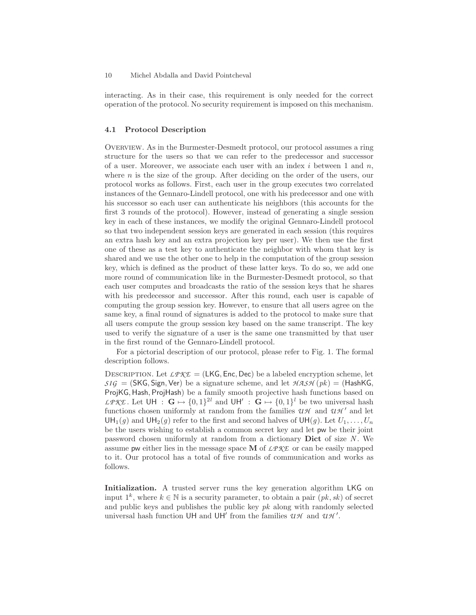interacting. As in their case, this requirement is only needed for the correct operation of the protocol. No security requirement is imposed on this mechanism.

#### 4.1 Protocol Description

Overview. As in the Burmester-Desmedt protocol, our protocol assumes a ring structure for the users so that we can refer to the predecessor and successor of a user. Moreover, we associate each user with an index i between 1 and  $n$ , where  $n$  is the size of the group. After deciding on the order of the users, our protocol works as follows. First, each user in the group executes two correlated instances of the Gennaro-Lindell protocol, one with his predecessor and one with his successor so each user can authenticate his neighbors (this accounts for the first 3 rounds of the protocol). However, instead of generating a single session key in each of these instances, we modify the original Gennaro-Lindell protocol so that two independent session keys are generated in each session (this requires an extra hash key and an extra projection key per user). We then use the first one of these as a test key to authenticate the neighbor with whom that key is shared and we use the other one to help in the computation of the group session key, which is defined as the product of these latter keys. To do so, we add one more round of communication like in the Burmester-Desmedt protocol, so that each user computes and broadcasts the ratio of the session keys that he shares with his predecessor and successor. After this round, each user is capable of computing the group session key. However, to ensure that all users agree on the same key, a final round of signatures is added to the protocol to make sure that all users compute the group session key based on the same transcript. The key used to verify the signature of a user is the same one transmitted by that user in the first round of the Gennaro-Lindell protocol.

For a pictorial description of our protocol, please refer to Fig. 1. The formal description follows.

DESCRIPTION. Let  $\mathcal{L}PKE = (LKG, Enc, Dec)$  be a labeled encryption scheme, let  $SIG = (SKG, Sign, Ver)$  be a signature scheme, and let  $HASH(pk) = (HashKG,$ ProjKG, Hash, ProjHash) be a family smooth projective hash functions based on *LPKE*. Let  $\mathsf{U}\mathsf{H}$  :  $\mathbf{G} \mapsto \{0,1\}^{2l}$  and  $\mathsf{U}\mathsf{H}'$  :  $\mathbf{G} \mapsto \{0,1\}^{l}$  be two universal hash functions chosen uniformly at random from the families  $\mathcal{U}H$  and  $\mathcal{U}H'$  and let  $\text{UH}_1(q)$  and  $\text{UH}_2(q)$  refer to the first and second halves of  $\text{UH}(q)$ . Let  $U_1, \ldots, U_n$ be the users wishing to establish a common secret key and let pw be their joint password chosen uniformly at random from a dictionary Dict of size  $N$ . We assume pw either lies in the message space  $M$  of  $\text{LPKE}$  or can be easily mapped to it. Our protocol has a total of five rounds of communication and works as follows.

Initialization. A trusted server runs the key generation algorithm LKG on input  $1^k$ , where  $k \in \mathbb{N}$  is a security parameter, to obtain a pair  $(pk, sk)$  of secret and public keys and publishes the public key  $pk$  along with randomly selected universal hash function UH and UH' from the families  $\mathcal{U}H$  and  $\mathcal{U}H'$ .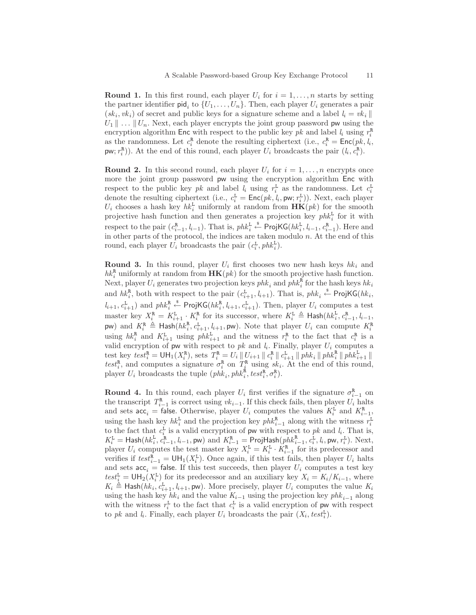**Round 1.** In this first round, each player  $U_i$  for  $i = 1, ..., n$  starts by setting the partner identifier  $\text{pid}_i$  to  $\{U_1, \ldots, U_n\}$ . Then, each player  $U_i$  generates a pair  $(sk<sub>i</sub>, vk<sub>i</sub>)$  of secret and public keys for a signature scheme and a label  $l<sub>i</sub> = vk<sub>i</sub>$  $U_1 \parallel \ldots \parallel U_n$ . Next, each player encrypts the joint group password pw using the encryption algorithm Enc with respect to the public key pk and label  $l_i$  using  $r_i^R$ as the randomness. Let  $c_i^R$  denote the resulting ciphertext (i.e.,  $c_i^R = \text{Enc}(pk, l_i)$ , pw;  $r_i^{\text{R}}$ ). At the end of this round, each player  $U_i$  broadcasts the pair  $(l_i, c_i^{\text{R}})$ .

**Round 2.** In this second round, each player  $U_i$  for  $i = 1, \ldots, n$  encrypts once more the joint group password pw using the encryption algorithm Enc with respect to the public key pk and label  $l_i$  using  $r_i^L$  as the randomness. Let  $c_i^L$ denote the resulting ciphertext (i.e.,  $c_i^{\text{L}} = \text{Enc}(pk, l_i, \text{pw}; r_i^{\text{L}})$ ). Next, each player  $U_i$  chooses a hash key  $hk_i^{\text{L}}$  uniformly at random from  $\mathbf{HK}(pk)$  for the smooth projective hash function and then generates a projection key  $phk_i^L$  for it with respect to the pair  $(c_{i-1}^R, l_{i-1})$ . That is,  $phk_i^L \stackrel{\text{s}}{\leftarrow}$  ProjKG $(hk_i^L, l_{i-1}, c_{i-1}^R)$ . Here and in other parts of the protocol, the indices are taken modulo  $n$ . At the end of this round, each player  $U_i$  broadcasts the pair  $(c_i^L, phk_i^L)$ .

**Round 3.** In this round, player  $U_i$  first chooses two new hash keys  $hk_i$  and  $hk_i^R$  uniformly at random from  $HK(pk)$  for the smooth projective hash function. Next, player  $U_i$  generates two projection keys  $phk_i$  and  $phk_i^{\alpha}$  for the hash keys  $hk_i$ and  $hk_i^{\mathbf{R}}$ , both with respect to the pair  $(c_{i+1}^{\mathbf{L}}, l_{i+1})$ . That is,  $phk_i \overset{\$}{\leftarrow}$  ProjKG $(hk_i,$  $l_{i+1}, c_{i+1}^{\text{L}}$  and  $phk_i^{\text{R}} \overset{\$}{\leftarrow}$  ProjKG $(hk_i^{\text{R}}, l_{i+1}, c_{i+1}^{\text{L}})$ . Then, player  $U_i$  computes a test master key  $X_i^{\text{R}} = K_{i+1}^{\text{L}} \cdot K_i^{\text{R}}$  for its successor, where  $K_i^{\text{L}} \triangleq \text{Hash}(hk_i^{\text{L}}, c_{i-1}^{\text{R}}, l_{i-1},$ pw) and  $K_i^{\text{R}} \triangleq \text{Hash}(hk_i^{\text{R}}, c_{i+1}^{\text{L}}, l_{i+1}, \text{pw})$ . Note that player  $U_i$  can compute  $K_i^{\text{R}}$  using  $hk_i^{\text{L}}$  and  $K_{i+1}^{\text{L}}$  using  $phk_{i+1}^{\text{L}}$  and the witness  $r_i^{\text{R}}$  to the fact that  $c_i^{\text{R}}$  is a valid encryption of pw with respect to  $pk$  and  $l_i$ . Finally, player  $U_i$  computes a test key  $test_i^{\text{R}} = \text{UH}_1(X_i^{\text{R}})$ , sets  $T_i^{\text{R}} = U_i || U_{i+1} || c_i^{\text{R}} || c_{i+1}^{\text{L}} || p h k_i || p h k_i^{\text{R}} || p h k_{i+1}^{\text{L}} ||$ test<sup>R</sup><sub>i</sub>, and computes a signature  $\sigma_i^R$  on  $T_i^R$  using  $sk_i$ . At the end of this round, player  $U_i$  broadcasts the tuple  $(\rho h k_i, \rho h k_i^{\hat{\mathbf{R}}}, \text{test}_i^{\mathbf{R}}, \sigma_i^{\hat{\mathbf{R}}}).$ 

**Round 4.** In this round, each player  $U_i$  first verifies if the signature  $\sigma_{i-1}^{\mathbb{R}}$  on the transcript  $T_{i-1}^{\text{R}}$  is correct using  $vk_{i-1}$ . If this check fails, then player  $U_i$  halts and sets  $\mathsf{acc}_i = \mathsf{false}$ . Otherwise, player  $U_i$  computes the values  $K_i^{\text{L}}$  and  $K_{i-1}^{\text{R}}$ , using the hash key  $hk_i^{\text{L}}$  and the projection key  $phk_{i-1}^{\text{R}}$  along with the witness  $r_i^{\text{L}}$ to the fact that  $c_i^{\text{L}}$  is a valid encryption of pw with respect to pk and  $l_i$ . That is,  $K_i^{\texttt{L}} = \textsf{Hash}(hk_i^{\texttt{L}}, c_{i-1}^{\texttt{R}}, l_{i-1}, \textsf{pw}) \text{ and } K_{i-1}^{\texttt{R}} = \textsf{ProjHash}(phk_{i-1}^{\texttt{R}}, c_i^{\texttt{L}}, l_i, \textsf{pw}, r_i^{\texttt{L}}). \text{ Next},$ player  $U_i$  computes the test master key  $X_i^{\text{L}} = K_i^{\text{L}} \cdot K_{i-1}^{\text{R}}$  for its predecessor and verifies if  $test_{i-1}^{\hat{\mathbf{R}}} = \mathsf{UH}_1(X_i^{\mathsf{L}})$ . Once again, if this test fails, then player  $U_i$  halts and sets  $acc_i$  = false. If this test succeeds, then player  $U_i$  computes a test key  $test_i^{\text{L}} = \text{UH}_2(X_i^{\text{L}})$  for its predecessor and an auxiliary key  $X_i = K_i/K_{i-1}$ , where  $K_i \triangleq$  Hash $(hk_i, c_{i+1}^L, l_{i+1}, pw)$ . More precisely, player  $U_i$  computes the value  $K_i$ using the hash key  $hk_i$  and the value  $K_{i-1}$  using the projection key  $phk_{i-1}$  along with the witness  $r_i^{\text{L}}$  to the fact that  $c_i^{\text{L}}$  is a valid encryption of pw with respect to pk and  $l_i$ . Finally, each player  $U_i$  broadcasts the pair  $(X_i, test_i^L)$ .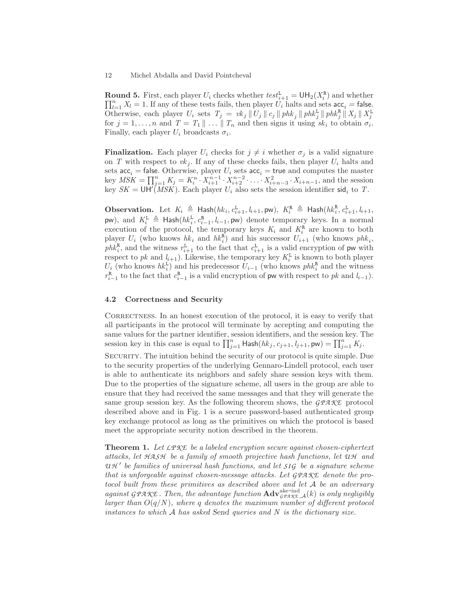#### 12 Michel Abdalla and David Pointcheval

**Round 5.** First, each player  $U_i$  checks whether  $test_{i+1}^{\mathbf{L}} = \mathsf{UH}_2(X_i^{\mathbf{R}})$  and whether  $\prod_{i=1}^n X_i = 1$ . If any of these tests fails, then player  $U_i$  halts and sets  $\text{acc}_i = \text{false}$ . Otherwise, each player  $U_i$  sets  $T_j = vk_j \|\hat{U}_j\| c_j \|\hat{p}hk_j\|\hat{p}hk_j^L\|\hat{p}hk_j^R\|\hat{X}_j\|X_j^L$ for  $j = 1, ..., n$  and  $T = T_1 || ... || T_n$  and then signs it using  $sk_i$  to obtain  $\sigma_i$ . Finally, each player  $U_i$  broadcasts  $\sigma_i$ .

**Finalization.** Each player  $U_i$  checks for  $j \neq i$  whether  $\sigma_j$  is a valid signature on T with respect to  $vk_j$ . If any of these checks fails, then player  $U_i$  halts and sets  $acc_i$  = false. Otherwise, player  $U_i$  sets  $acc_i$  = true and computes the master key  $MSK = \prod_{j=1}^{n} K_j = K_i^n \cdot X_{i+1}^{n-1} \cdot X_{i+2}^{n-2} \cdot \ldots \cdot X_{i+n-3}^2 \cdot X_{i+n-1}$ , and the session key  $SK = \text{UH}'(MSK)$ . Each player  $U_i$  also sets the session identifier sid<sub>i</sub> to T.

**Observation.** Let  $K_i \triangleq$  Hash $(hk_i, c_{i+1}^{\text{L}}, l_{i+1}, \text{pw})$ ,  $K_i^{\text{R}} \triangleq$  Hash $(hk_i^{\text{R}}, c_{i+1}^{\text{L}}, l_{i+1},$ pw), and  $K_i^{\text{L}} \triangleq$  Hash $(hk_i^{\text{L}}, c_{i-1}^{\text{R}}, l_{i-1}, p\mathsf{w})$  denote temporary keys. In a normal execution of the protocol, the temporary keys  $K_i$  and  $K_i^{\overline{R}}$  are known to both player  $U_i$  (who knows  $hk_i$  and  $hk_i^{\mathbf{R}}$ ) and his successor  $U_{i+1}$  (who knows  $phk_i$ ,  $ph\tilde{k}_i^R$ , and the witness  $r_{i+1}^L$  to the fact that  $c_{i+1}^L$  is a valid encryption of pw with respect to pk and  $l_{i+1}$ ). Likewise, the temporary key  $K_i^L$  is known to both player  $U_i$  (who knows  $hk_i^L$ ) and his predecessor  $U_{i-1}$  (who knows  $phk_i^R$  and the witness  $r_{i-1}^R$  to the fact that  $c_{i-1}^R$  is a valid encryption of pw with respect to pk and  $l_{i-1}$ ).

#### 4.2 Correctness and Security

CORRECTNESS. In an honest execution of the protocol, it is easy to verify that all participants in the protocol will terminate by accepting and computing the same values for the partner identifier, session identifiers, and the session key. The session key in this case is equal to  $\prod_{j=1}^n$  Hash $(hk_j, c_{j+1}, l_{j+1}, \text{pw}) = \prod_{j=1}^n K_j$ .

Security. The intuition behind the security of our protocol is quite simple. Due to the security properties of the underlying Gennaro-Lindell protocol, each user is able to authenticate its neighbors and safely share session keys with them. Due to the properties of the signature scheme, all users in the group are able to ensure that they had received the same messages and that they will generate the same group session key. As the following theorem shows, the  $GPARE$  protocol described above and in Fig. 1 is a secure password-based authenticated group key exchange protocol as long as the primitives on which the protocol is based meet the appropriate security notion described in the theorem.

Theorem 1. Let  $\text{LPKE}$  be a labeled encryption secure against chosen-ciphertext attacks, let *H A SH* be a family of smooth projective hash functions, let *U H* and *U H* ′ be families of universal hash functions, and let *SIG* be a signature scheme that is unforgeable against chosen-message attacks. Let *GPAKE* denote the protocol built from these primitives as described above and let A be an adversary against  $GPAKE$ . Then, the advantage function  $\mathbf{Adv}_{GPAKE, \mathcal{A}}^{ake-ind}(k)$  is only negligibly larger than  $O(q/N)$ , where q denotes the maximum number of different protocol instances to which  $A$  has asked Send queries and  $N$  is the dictionary size.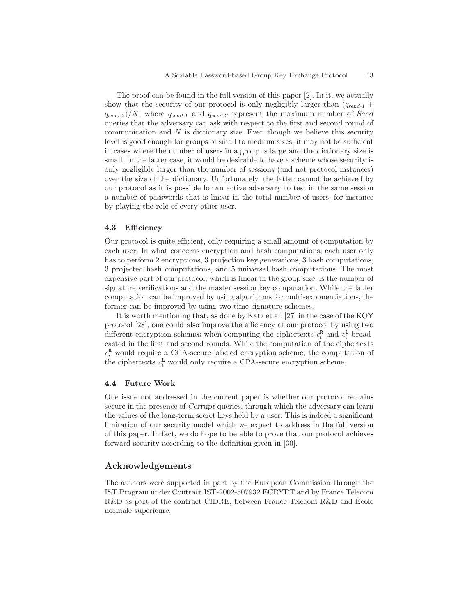The proof can be found in the full version of this paper [2]. In it, we actually show that the security of our protocol is only negligibly larger than  $(q_{send-1} +$  $q_{send-2}$  /N, where  $q_{send-1}$  and  $q_{send-2}$  represent the maximum number of Send queries that the adversary can ask with respect to the first and second round of communication and  $N$  is dictionary size. Even though we believe this security level is good enough for groups of small to medium sizes, it may not be sufficient in cases where the number of users in a group is large and the dictionary size is small. In the latter case, it would be desirable to have a scheme whose security is only negligibly larger than the number of sessions (and not protocol instances) over the size of the dictionary. Unfortunately, the latter cannot be achieved by our protocol as it is possible for an active adversary to test in the same session a number of passwords that is linear in the total number of users, for instance by playing the role of every other user.

#### 4.3 Efficiency

Our protocol is quite efficient, only requiring a small amount of computation by each user. In what concerns encryption and hash computations, each user only has to perform 2 encryptions, 3 projection key generations, 3 hash computations, 3 projected hash computations, and 5 universal hash computations. The most expensive part of our protocol, which is linear in the group size, is the number of signature verifications and the master session key computation. While the latter computation can be improved by using algorithms for multi-exponentiations, the former can be improved by using two-time signature schemes.

It is worth mentioning that, as done by Katz et al. [27] in the case of the KOY protocol [28], one could also improve the efficiency of our protocol by using two different encryption schemes when computing the ciphertexts  $c_i^R$  and  $c_i^L$  broadcasted in the first and second rounds. While the computation of the ciphertexts  $c_i^{\mathsf{R}}$  would require a CCA-secure labeled encryption scheme, the computation of the ciphertexts  $c_i^{\text{L}}$  would only require a CPA-secure encryption scheme.

#### 4.4 Future Work

One issue not addressed in the current paper is whether our protocol remains secure in the presence of Corrupt queries, through which the adversary can learn the values of the long-term secret keys held by a user. This is indeed a significant limitation of our security model which we expect to address in the full version of this paper. In fact, we do hope to be able to prove that our protocol achieves forward security according to the definition given in [30].

#### Acknowledgements

The authors were supported in part by the European Commission through the IST Program under Contract IST-2002-507932 ECRYPT and by France Telecom R&D as part of the contract CIDRE, between France Telecom R&D and Ecole normale supérieure.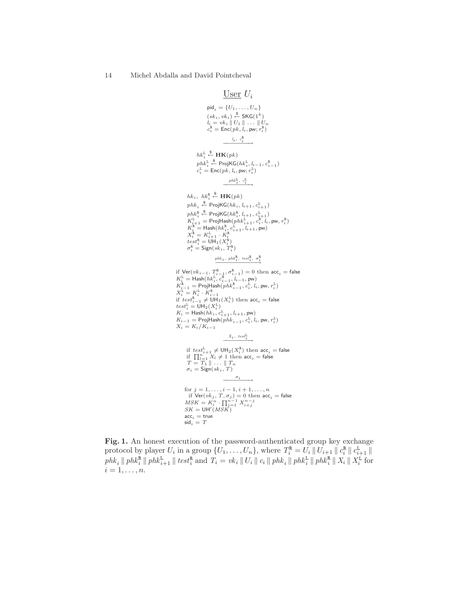14 Michel Abdalla and David Pointcheval

# User  $U_i$  $\mathsf{pid}_i = \{U_1, \ldots, U_n\}$  $\begin{array}{l} (sk_i, vki) \stackrel{\$}{\leftarrow} \mathsf{SKG}(1^k) \\ l_i = vki \parallel U_1 \parallel \ldots \parallel U_n \end{array}$  $c_i^{\texttt{R}} = \mathsf{Enc}(pk, l_i, \mathsf{pw}, r_i^{\texttt{R}})$  $\begin{CD} l_i\,,\ \, c_i^{\rm R}\\ \begin{CD} \end{CD} \end{CD} \end{CD}$  $hk_i^{\text{L}} \stackrel{\$}{\leftarrow} \mathbf{HK}(pk)$  $phk_{i}^{\texttt{L}} \overset{\$}{\leftarrow} \mathsf{ProjKG}(hk_{i}^{\texttt{L}}, l_{i-1}, c_{i-1}^{\texttt{R}})$  $c_i^{\texttt{L}} = \mathsf{Enc}(pk, l_i, \mathsf{pw}, r_i^{\texttt{L}})$  $\xrightarrow{phk_i^{\rm L}},\ \, c_i^{\rm L} \xrightarrow{}$  $hk_i, hk_i^{\text{R}} \stackrel{\$}{\leftarrow} \mathbf{HK}(pk)$  $phk_i \overset{\$}{\leftarrow} \mathsf{ProjKG}(hk_i, \allowbreak l_{i+1}, \allowbreak c_{i+1}^{\mathtt{L}})$  $\begin{array}{l} phk^{\mathfrak{R}}_{+} \triangleq {\sf ProjKG}(hk^{\mathfrak{R}}_{+}, l_{i+1}, c^{\mathfrak{l}}_{i+1}) \\ K^{\mathfrak{l}}_{i+1} = {\sf ProjHash}(phk^{\mathfrak{R}}_{+}, c^{\mathfrak{l}}_{i+1}, c^{\mathfrak{R}}_{i}, l_{i}, \textrm{pw}, r^{\mathfrak{R}}_{i}) \\ K^{\mathfrak{R}}_{+} = {\sf Hash}(hk^{\mathfrak{R}}_{+}, c^{\mathfrak{l}}_{i+1}, l_{i+1}, \textrm{pw}) \\ X^{\mathfrak{R}}_{+} = K^{\mathfrak{l}}_{$  $\sigma_i^{\tt R} =$  Sign $(\overrightarrow{sk_i}, \overleftrightarrow{T_i^{\tt R}})$  $\overrightarrow{p h k_i}, \overrightarrow{ph k_i^{\text{R}}}, \overrightarrow{test_i^{\text{R}}}, \overrightarrow{\sigma_i^{\text{R}}}$ if Ver( $vk_{i-1}, T_{i-1}^{\text{R}}, \sigma_{i-1}^{\text{R}}) = 0$  then  $\text{acc}_i = \text{false}$ <br>  $K_i^{\text{L}} = \text{Hash}(hk_i^{\text{L}}, c_{i-1}^{\text{L}}, l_{i-1}, \text{pw})$ <br>  $K_{i-1}^{\text{R}} = \text{ProjHash}(phk_{i-1}^{\text{R}}, c_i^{\text{L}}, l_i, \text{pw}, r_i^{\text{L}})$ <br>  $X_i^{\text{L}} = K_i^{\text{L}} \cdot K_{i-1}^{\text{R}}$ if  ${}^{t} \epsilon s t_{i-1}^{R} \neq \bigcup_{i=1}^{n} (X_i^L)$  then  $\mathrm{acc}_i = \mathrm{false}$ <br>  $\epsilon t_i^L = \mathrm{UH}_2(X_i^L)$  $K_i = \mathsf{Hash}(hk_i, c_{i+1}^{\mathtt{L}}, l_{i+1}, \mathsf{pw})$  $K_{i-1} = \text{ProjHash}(phk_{i-1}, c_i^{\text{L}}, l_i, \text{pw}, r_i^{\text{L}})$  $X_i = K_i/K_{i-1}$  $\xrightarrow{~~X_i,~ test^{\rm L}_i~~}$ if  $test_{i+1}^{\text{t}} \neq \text{UH}_2(X_i^{\text{R}})$  then  $\text{acc}_i = \text{false}$ <br>if  $\prod_{l=1}^{n} X_l \neq 1$  then  $\text{acc}_i = \text{false}$ <br> $T = T_1 \parallel \ldots \parallel T_n$

 $\sigma_i$ for  $j = 1, \ldots, i - 1, i + 1, \ldots, n$ if  $\text{Ver}(vk_j, T, \sigma_j) = 0$  then  $\text{acc}_i = \text{false}$ <br>  $MSK = K_i^n \cdot \prod_{j=1}^{n-1} X_{i+j}^{n-j}$  $SK = UH'(MSK)$  $\operatorname{acc}_i = \operatorname{true}$ <br> $\operatorname{sid}_i = T$ 

 $\sigma_i = \mathsf{Sign}(sk_i, T)$ 

Fig. 1. An honest execution of the password-authenticated group key exchange protocol by player  $U_i$  in a group  $\{U_1, \ldots, U_n\}$ , where  $T_i^{\text{R}} = U_i || U_{i+1} || c_i^{\text{R}} || c_{i+1}^{\text{L}} ||$  $[phk_i \| phk_i^{\text{L}} \| phk_{i+1}^{\text{L}} \| test_i^{\text{R}} \text{ and } T_i = vk_i \| U_i \| c_i \| phk_i \| phk_i^{\text{L}} \| phk_i^{\text{L}} \| X_i \| X_i^{\text{L}} \text{ for } i$  $i = 1, \ldots, n$ .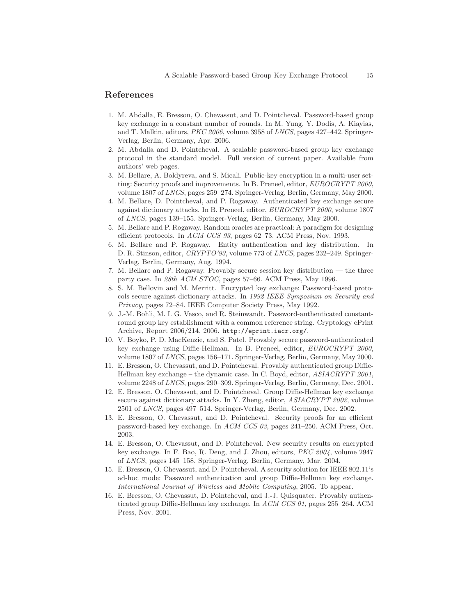## References

- 1. M. Abdalla, E. Bresson, O. Chevassut, and D. Pointcheval. Password-based group key exchange in a constant number of rounds. In M. Yung, Y. Dodis, A. Kiayias, and T. Malkin, editors, PKC 2006, volume 3958 of LNCS, pages 427–442. Springer-Verlag, Berlin, Germany, Apr. 2006.
- 2. M. Abdalla and D. Pointcheval. A scalable password-based group key exchange protocol in the standard model. Full version of current paper. Available from authors' web pages.
- 3. M. Bellare, A. Boldyreva, and S. Micali. Public-key encryption in a multi-user setting: Security proofs and improvements. In B. Preneel, editor, EUROCRYPT 2000, volume 1807 of LNCS, pages 259–274. Springer-Verlag, Berlin, Germany, May 2000.
- 4. M. Bellare, D. Pointcheval, and P. Rogaway. Authenticated key exchange secure against dictionary attacks. In B. Preneel, editor, EUROCRYPT 2000, volume 1807 of LNCS, pages 139–155. Springer-Verlag, Berlin, Germany, May 2000.
- 5. M. Bellare and P. Rogaway. Random oracles are practical: A paradigm for designing efficient protocols. In ACM CCS 93, pages 62–73. ACM Press, Nov. 1993.
- 6. M. Bellare and P. Rogaway. Entity authentication and key distribution. In D. R. Stinson, editor, CRYPTO'93, volume 773 of LNCS, pages 232–249. Springer-Verlag, Berlin, Germany, Aug. 1994.
- 7. M. Bellare and P. Rogaway. Provably secure session key distribution the three party case. In 28th ACM STOC, pages 57–66. ACM Press, May 1996.
- 8. S. M. Bellovin and M. Merritt. Encrypted key exchange: Password-based protocols secure against dictionary attacks. In 1992 IEEE Symposium on Security and Privacy, pages 72–84. IEEE Computer Society Press, May 1992.
- 9. J.-M. Bohli, M. I. G. Vasco, and R. Steinwandt. Password-authenticated constantround group key establishment with a common reference string. Cryptology ePrint Archive, Report 2006/214, 2006. http://eprint.iacr.org/.
- 10. V. Boyko, P. D. MacKenzie, and S. Patel. Provably secure password-authenticated key exchange using Diffie-Hellman. In B. Preneel, editor, EUROCRYPT 2000, volume 1807 of LNCS, pages 156–171. Springer-Verlag, Berlin, Germany, May 2000.
- 11. E. Bresson, O. Chevassut, and D. Pointcheval. Provably authenticated group Diffie-Hellman key exchange – the dynamic case. In C. Boyd, editor, ASIACRYPT 2001, volume 2248 of LNCS, pages 290–309. Springer-Verlag, Berlin, Germany, Dec. 2001.
- 12. E. Bresson, O. Chevassut, and D. Pointcheval. Group Diffie-Hellman key exchange secure against dictionary attacks. In Y. Zheng, editor, ASIACRYPT 2002, volume 2501 of LNCS, pages 497–514. Springer-Verlag, Berlin, Germany, Dec. 2002.
- 13. E. Bresson, O. Chevassut, and D. Pointcheval. Security proofs for an efficient password-based key exchange. In ACM CCS 03, pages 241–250. ACM Press, Oct. 2003.
- 14. E. Bresson, O. Chevassut, and D. Pointcheval. New security results on encrypted key exchange. In F. Bao, R. Deng, and J. Zhou, editors, PKC 2004, volume 2947 of LNCS, pages 145–158. Springer-Verlag, Berlin, Germany, Mar. 2004.
- 15. E. Bresson, O. Chevassut, and D. Pointcheval. A security solution for IEEE 802.11's ad-hoc mode: Password authentication and group Diffie-Hellman key exchange. International Journal of Wireless and Mobile Computing, 2005. To appear.
- 16. E. Bresson, O. Chevassut, D. Pointcheval, and J.-J. Quisquater. Provably authenticated group Diffie-Hellman key exchange. In ACM CCS 01, pages 255–264. ACM Press, Nov. 2001.